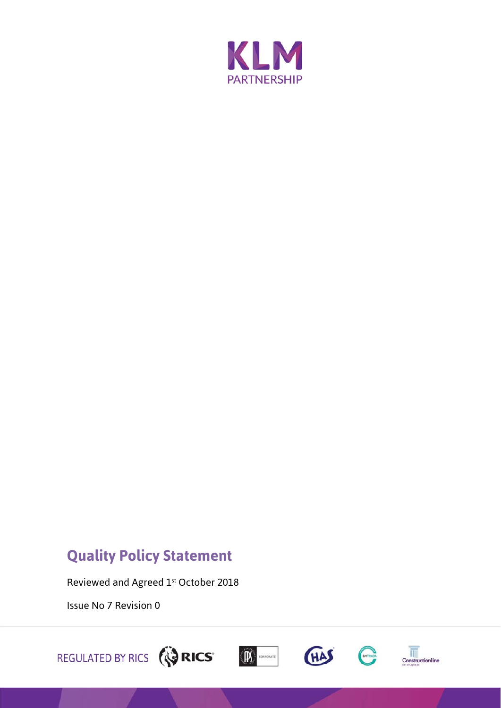

## **Quality Policy Statement**

Reviewed and Agreed 1st October 2018

Issue No 7 Revision 0